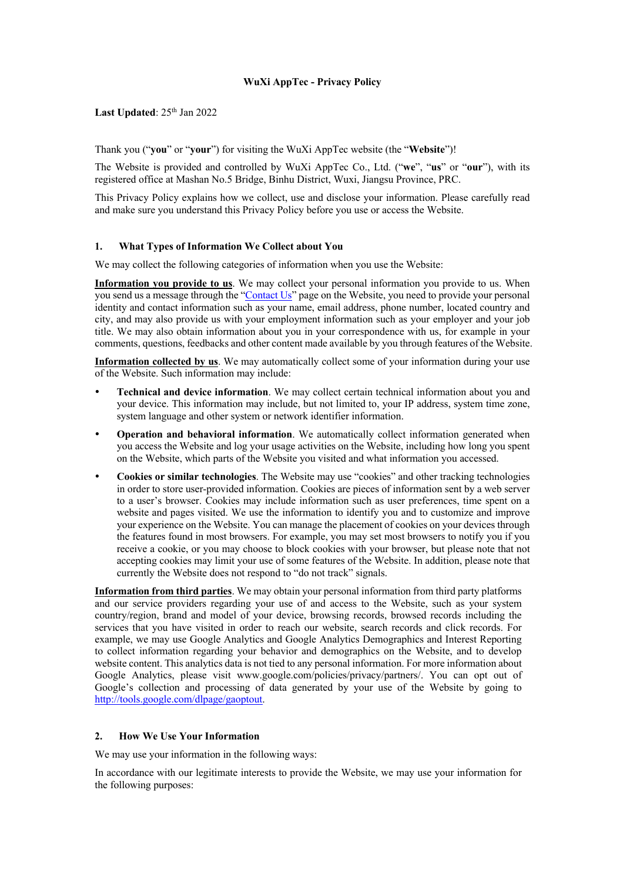# **WuXi AppTec - Privacy Policy**

Last Updated:  $25<sup>th</sup>$  Jan 2022

Thank you ("**you**" or "**your**") for visiting the WuXi AppTec website (the "**Website**")!

The Website is provided and controlled by WuXi AppTec Co., Ltd. ("**we**", "**us**" or "**our**"), with its registered office at Mashan No.5 Bridge, Binhu District, Wuxi, Jiangsu Province, PRC.

This Privacy Policy explains how we collect, use and disclose your information. Please carefully read and make sure you understand this Privacy Policy before you use or access the Website.

#### **1. What Types of Information We Collect about You**

We may collect the following categories of information when you use the Website:

**Information you provide to us**. We may collect your personal information you provide to us. When you send us a message through the "Contact Us" page on the Website, you need to provide your personal identity and contact information such as your name, email address, phone number, located country and city, and may also provide us with your employment information such as your employer and your job title. We may also obtain information about you in your correspondence with us, for example in your comments, questions, feedbacks and other content made available by you through features of the Website.

**Information collected by us**. We may automatically collect some of your information during your use of the Website. Such information may include:

- **Technical and device information**. We may collect certain technical information about you and your device. This information may include, but not limited to, your IP address, system time zone, system language and other system or network identifier information.
- **Operation and behavioral information**. We automatically collect information generated when you access the Website and log your usage activities on the Website, including how long you spent on the Website, which parts of the Website you visited and what information you accessed.
- **Cookies or similar technologies**. The Website may use "cookies" and other tracking technologies in order to store user-provided information. Cookies are pieces of information sent by a web server to a user's browser. Cookies may include information such as user preferences, time spent on a website and pages visited. We use the information to identify you and to customize and improve your experience on the Website. You can manage the placement of cookies on your devices through the features found in most browsers. For example, you may set most browsers to notify you if you receive a cookie, or you may choose to block cookies with your browser, but please note that not accepting cookies may limit your use of some features of the Website. In addition, please note that currently the Website does not respond to "do not track" signals.

**Information from third parties**. We may obtain your personal information from third party platforms and our service providers regarding your use of and access to the Website, such as your system country/region, brand and model of your device, browsing records, browsed records including the services that you have visited in order to reach our website, search records and click records. For example, we may use Google Analytics and Google Analytics Demographics and Interest Reporting to collect information regarding your behavior and demographics on the Website, and to develop website content. This analytics data is not tied to any personal information. For more information about Google Analytics, please visit www.google.com/policies/privacy/partners/. You can opt out of Google's collection and processing of data generated by your use of the Website by going to http://tools.google.com/dlpage/gaoptout.

#### **2. How We Use Your Information**

We may use your information in the following ways:

In accordance with our legitimate interests to provide the Website, we may use your information for the following purposes: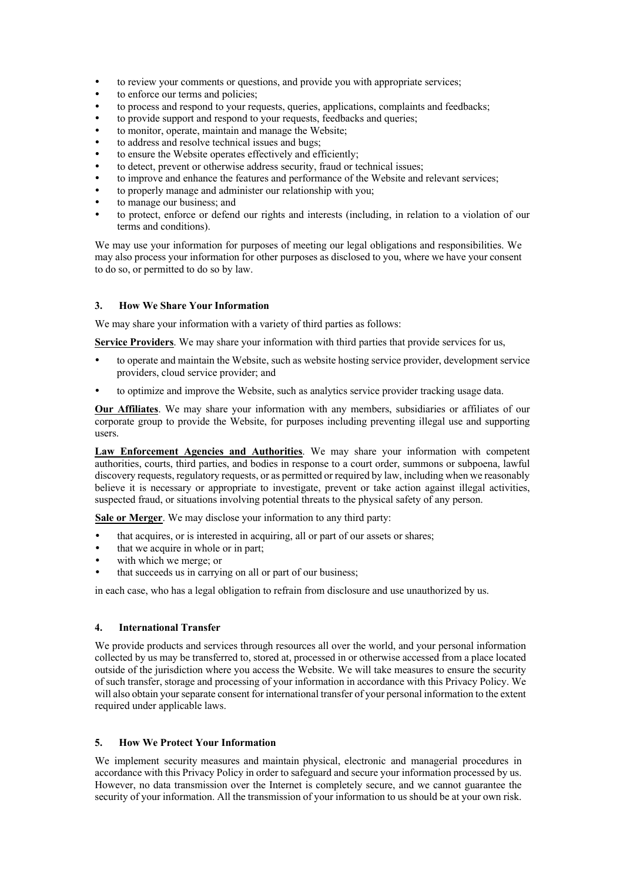- to review your comments or questions, and provide you with appropriate services;
- to enforce our terms and policies;
- to process and respond to your requests, queries, applications, complaints and feedbacks;
- to provide support and respond to your requests, feedbacks and queries;
- to monitor, operate, maintain and manage the Website;
- to address and resolve technical issues and bugs;
- to ensure the Website operates effectively and efficiently;
- to detect, prevent or otherwise address security, fraud or technical issues;
- to improve and enhance the features and performance of the Website and relevant services;
- to properly manage and administer our relationship with you;
- to manage our business; and
- to protect, enforce or defend our rights and interests (including, in relation to a violation of our terms and conditions).

We may use your information for purposes of meeting our legal obligations and responsibilities. We may also process your information for other purposes as disclosed to you, where we have your consent to do so, or permitted to do so by law.

#### **3. How We Share Your Information**

We may share your information with a variety of third parties as follows:

**Service Providers**. We may share your information with third parties that provide services for us,

- to operate and maintain the Website, such as website hosting service provider, development service providers, cloud service provider; and
- to optimize and improve the Website, such as analytics service provider tracking usage data.

**Our Affiliates**. We may share your information with any members, subsidiaries or affiliates of our corporate group to provide the Website, for purposes including preventing illegal use and supporting users.

**Law Enforcement Agencies and Authorities**. We may share your information with competent authorities, courts, third parties, and bodies in response to a court order, summons or subpoena, lawful discovery requests, regulatory requests, or as permitted or required by law, including when we reasonably believe it is necessary or appropriate to investigate, prevent or take action against illegal activities, suspected fraud, or situations involving potential threats to the physical safety of any person.

**Sale or Merger**. We may disclose your information to any third party:

- that acquires, or is interested in acquiring, all or part of our assets or shares;
- that we acquire in whole or in part;
- with which we merge; or
- that succeeds us in carrying on all or part of our business;

in each case, who has a legal obligation to refrain from disclosure and use unauthorized by us.

#### **4. International Transfer**

We provide products and services through resources all over the world, and your personal information collected by us may be transferred to, stored at, processed in or otherwise accessed from a place located outside of the jurisdiction where you access the Website. We will take measures to ensure the security of such transfer, storage and processing of your information in accordance with this Privacy Policy. We will also obtain your separate consent for international transfer of your personal information to the extent required under applicable laws.

## **5. How We Protect Your Information**

We implement security measures and maintain physical, electronic and managerial procedures in accordance with this Privacy Policy in order to safeguard and secure your information processed by us. However, no data transmission over the Internet is completely secure, and we cannot guarantee the security of your information. All the transmission of your information to us should be at your own risk.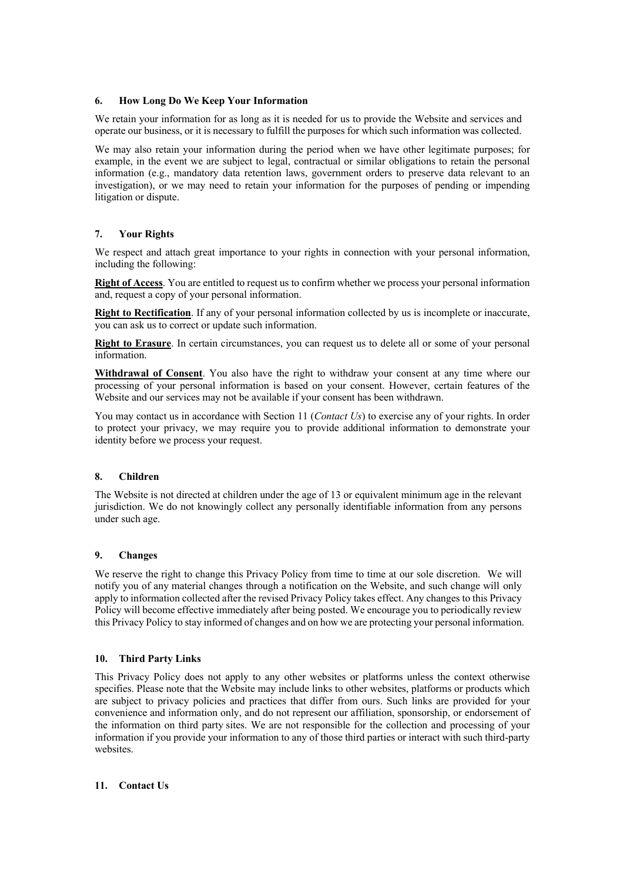#### **6. How Long Do We Keep Your Information**

We retain your information for as long as it is needed for us to provide the Website and services and operate our business, or it is necessary to fulfill the purposes for which such information was collected.

We may also retain your information during the period when we have other legitimate purposes; for example, in the event we are subject to legal, contractual or similar obligations to retain the personal information (e.g., mandatory data retention laws, government orders to preserve data relevant to an investigation), or we may need to retain your information for the purposes of pending or impending litigation or dispute.

## **7. Your Rights**

We respect and attach great importance to your rights in connection with your personal information, including the following:

**Right of Access**. You are entitled to request us to confirm whether we process your personal information and, request a copy of your personal information.

**Right to Rectification**. If any of your personal information collected by us is incomplete or inaccurate, you can ask us to correct or update such information.

**Right to Erasure**. In certain circumstances, you can request us to delete all or some of your personal information.

**Withdrawal of Consent**. You also have the right to withdraw your consent at any time where our processing of your personal information is based on your consent. However, certain features of the Website and our services may not be available if your consent has been withdrawn.

You may contact us in accordance with Section 11 (*Contact Us*) to exercise any of your rights. In order to protect your privacy, we may require you to provide additional information to demonstrate your identity before we process your request.

## **8. Children**

The Website is not directed at children under the age of 13 or equivalent minimum age in the relevant jurisdiction. We do not knowingly collect any personally identifiable information from any persons under such age.

## **9. Changes**

We reserve the right to change this Privacy Policy from time to time at our sole discretion. We will notify you of any material changes through a notification on the Website, and such change will only apply to information collected after the revised Privacy Policy takes effect. Any changes to this Privacy Policy will become effective immediately after being posted. We encourage you to periodically review this Privacy Policy to stay informed of changes and on how we are protecting your personal information.

## **10. Third Party Links**

This Privacy Policy does not apply to any other websites or platforms unless the context otherwise specifies. Please note that the Website may include links to other websites, platforms or products which are subject to privacy policies and practices that differ from ours. Such links are provided for your convenience and information only, and do not represent our affiliation, sponsorship, or endorsement of the information on third party sites. We are not responsible for the collection and processing of your information if you provide your information to any of those third parties or interact with such third-party websites.

## **11. Contact Us**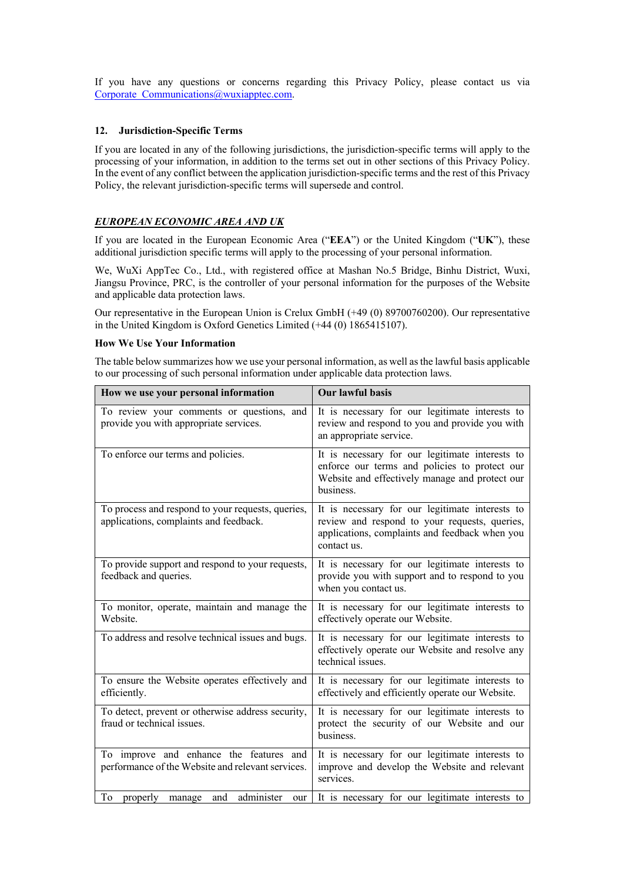If you have any questions or concerns regarding this Privacy Policy, please contact us via Corporate Communications@wuxiapptec.com.

#### **12. Jurisdiction-Specific Terms**

If you are located in any of the following jurisdictions, the jurisdiction-specific terms will apply to the processing of your information, in addition to the terms set out in other sections of this Privacy Policy. In the event of any conflict between the application jurisdiction-specific terms and the rest of this Privacy Policy, the relevant jurisdiction-specific terms will supersede and control.

# *EUROPEAN ECONOMIC AREA AND UK*

If you are located in the European Economic Area ("**EEA**") or the United Kingdom ("**UK**"), these additional jurisdiction specific terms will apply to the processing of your personal information.

We, WuXi AppTec Co., Ltd., with registered office at Mashan No.5 Bridge, Binhu District, Wuxi, Jiangsu Province, PRC, is the controller of your personal information for the purposes of the Website and applicable data protection laws.

Our representative in the European Union is Crelux GmbH (+49 (0) 89700760200). Our representative in the United Kingdom is Oxford Genetics Limited (+44 (0) 1865415107).

#### **How We Use Your Information**

The table below summarizes how we use your personal information, as well as the lawful basis applicable to our processing of such personal information under applicable data protection laws.

| How we use your personal information                                                         | Our lawful basis                                                                                                                                                  |
|----------------------------------------------------------------------------------------------|-------------------------------------------------------------------------------------------------------------------------------------------------------------------|
| To review your comments or questions, and<br>provide you with appropriate services.          | It is necessary for our legitimate interests to<br>review and respond to you and provide you with<br>an appropriate service.                                      |
| To enforce our terms and policies.                                                           | It is necessary for our legitimate interests to<br>enforce our terms and policies to protect our<br>Website and effectively manage and protect our<br>business.   |
| To process and respond to your requests, queries,<br>applications, complaints and feedback.  | It is necessary for our legitimate interests to<br>review and respond to your requests, queries,<br>applications, complaints and feedback when you<br>contact us. |
| To provide support and respond to your requests,<br>feedback and queries.                    | It is necessary for our legitimate interests to<br>provide you with support and to respond to you<br>when you contact us.                                         |
| To monitor, operate, maintain and manage the<br>Website.                                     | It is necessary for our legitimate interests to<br>effectively operate our Website.                                                                               |
| To address and resolve technical issues and bugs.                                            | It is necessary for our legitimate interests to<br>effectively operate our Website and resolve any<br>technical issues.                                           |
| To ensure the Website operates effectively and<br>efficiently.                               | It is necessary for our legitimate interests to<br>effectively and efficiently operate our Website.                                                               |
| To detect, prevent or otherwise address security,<br>fraud or technical issues.              | It is necessary for our legitimate interests to<br>protect the security of our Website and our<br>business.                                                       |
| To improve and enhance the features and<br>performance of the Website and relevant services. | It is necessary for our legitimate interests to<br>improve and develop the Website and relevant<br>services.                                                      |
| administer<br>To<br>properly<br>and<br>manage<br>our                                         | It is necessary for our legitimate interests to                                                                                                                   |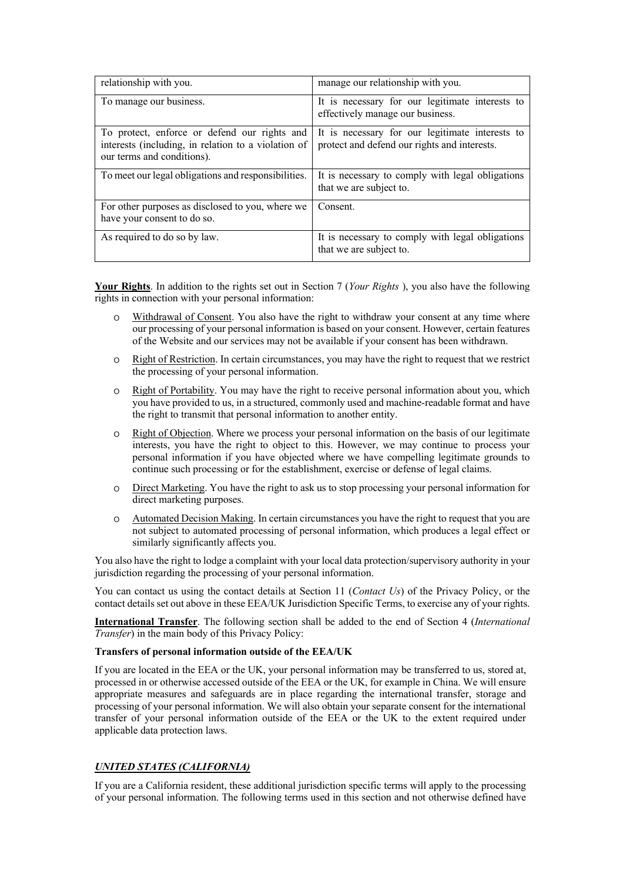| relationship with you.                                                                                                            | manage our relationship with you.                                                               |
|-----------------------------------------------------------------------------------------------------------------------------------|-------------------------------------------------------------------------------------------------|
| To manage our business.                                                                                                           | It is necessary for our legitimate interests to<br>effectively manage our business.             |
| To protect, enforce or defend our rights and<br>interests (including, in relation to a violation of<br>our terms and conditions). | It is necessary for our legitimate interests to<br>protect and defend our rights and interests. |
| To meet our legal obligations and responsibilities.                                                                               | It is necessary to comply with legal obligations<br>that we are subject to.                     |
| For other purposes as disclosed to you, where we<br>have your consent to do so.                                                   | Consent.                                                                                        |
| As required to do so by law.                                                                                                      | It is necessary to comply with legal obligations<br>that we are subject to.                     |

**Your Rights**. In addition to the rights set out in Section 7 (*Your Rights* ), you also have the following rights in connection with your personal information:

- o Withdrawal of Consent. You also have the right to withdraw your consent at any time where our processing of your personal information is based on your consent. However, certain features of the Website and our services may not be available if your consent has been withdrawn.
- o Right of Restriction. In certain circumstances, you may have the right to request that we restrict the processing of your personal information.
- o Right of Portability. You may have the right to receive personal information about you, which you have provided to us, in a structured, commonly used and machine-readable format and have the right to transmit that personal information to another entity.
- o Right of Objection. Where we process your personal information on the basis of our legitimate interests, you have the right to object to this. However, we may continue to process your personal information if you have objected where we have compelling legitimate grounds to continue such processing or for the establishment, exercise or defense of legal claims.
- o Direct Marketing. You have the right to ask us to stop processing your personal information for direct marketing purposes.
- o Automated Decision Making. In certain circumstances you have the right to request that you are not subject to automated processing of personal information, which produces a legal effect or similarly significantly affects you.

You also have the right to lodge a complaint with your local data protection/supervisory authority in your jurisdiction regarding the processing of your personal information.

You can contact us using the contact details at Section 11 (*Contact Us*) of the Privacy Policy, or the contact details set out above in these EEA/UK Jurisdiction Specific Terms, to exercise any of your rights.

**International Transfer**. The following section shall be added to the end of Section 4 (*International Transfer*) in the main body of this Privacy Policy:

# **Transfers of personal information outside of the EEA/UK**

If you are located in the EEA or the UK, your personal information may be transferred to us, stored at, processed in or otherwise accessed outside of the EEA or the UK, for example in China. We will ensure appropriate measures and safeguards are in place regarding the international transfer, storage and processing of your personal information. We will also obtain your separate consent for the international transfer of your personal information outside of the EEA or the UK to the extent required under applicable data protection laws.

# *UNITED STATES (CALIFORNIA)*

If you are a California resident, these additional jurisdiction specific terms will apply to the processing of your personal information. The following terms used in this section and not otherwise defined have